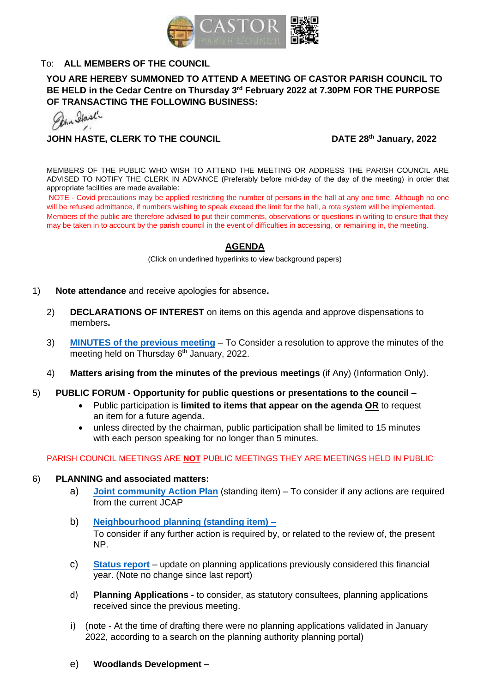

# To: **ALL MEMBERS OF THE COUNCIL**

# **YOU ARE HEREBY SUMMONED TO ATTEND A MEETING OF CASTOR PARISH COUNCIL TO BE HELD in the Cedar Centre on Thursday 3 rd February 2022 at 7.30PM FOR THE PURPOSE OF TRANSACTING THE FOLLOWING BUSINESS:**<br>*A<sub>hm</sub> Hast<sup>l</sup>*

**JOHN HASTE, CLERK TO THE COUNCIL** DATE 28<sup>th</sup> January, 2022

MEMBERS OF THE PUBLIC WHO WISH TO ATTEND THE MEETING OR ADDRESS THE PARISH COUNCIL ARE ADVISED TO NOTIFY THE CLERK IN ADVANCE (Preferably before mid-day of the day of the meeting) in order that appropriate facilities are made available:

NOTE - Covid precautions may be applied restricting the number of persons in the hall at any one time. Although no one will be refused admittance, if numbers wishing to speak exceed the limit for the hall, a rota system will be implemented. Members of the public are therefore advised to put their comments, observations or questions in writing to ensure that they may be taken in to account by the parish council in the event of difficulties in accessing, or remaining in, the meeting.

#### **AGENDA**

(Click on underlined hyperlinks to view background papers)

- 1) **Note attendance** and receive apologies for absence**.**
	- 2) **DECLARATIONS OF INTEREST** on items on this agenda and approve dispensations to members**.**
	- 3) **MINUTES [of the previous meeting](https://castor-pc.gov.uk/wp-content/uploads/2022/01/22-01-CPC-January-6th-MINUTES.pdf)** To Consider a resolution to approve the minutes of the meeting held on Thursday 6<sup>th</sup> January, 2022.
	- 4) **Matters arising from the minutes of the previous meetings** (if Any) (Information Only).
- 5) **PUBLIC FORUM - Opportunity for public questions or presentations to the council –**
	- Public participation is **limited to items that appear on the agenda OR** to request an item for a future agenda.
	- unless directed by the chairman, public participation shall be limited to 15 minutes with each person speaking for no longer than 5 minutes.

#### PARISH COUNCIL MEETINGS ARE **NOT** PUBLIC MEETINGS THEY ARE MEETINGS HELD IN PUBLIC

#### 6) **PLANNING and associated matters:**

- a) **[Joint community Action Plan](https://castor-pc.gov.uk/documents/draft-community-action-plan-update-1-10-21/)** (standing item) To consider if any actions are required from the current JCAP
- b) **[Neighbourhood planning \(standing item\) –](https://castor-pc.gov.uk/wp-content/uploads/2020/09/Castor-Neighbourhood-Plan-Adoption-Version-December-2017-CPC-Website-1.pdf)** To consider if any further action is required by, or related to the review of, the present NP.
- c) **[Status report](https://castor-pc.gov.uk/wp-content/uploads/2021/12/2022-01-Planning-applications-log-30th-December-2021.pdf)** update on planning applications previously considered this financial year. (Note no change since last report)
- d) **Planning Applications -** to consider, as statutory consultees, planning applications received since the previous meeting.
- i) (note At the time of drafting there were no planning applications validated in January 2022, according to a search on the planning authority planning portal)
- e) **Woodlands Development –**